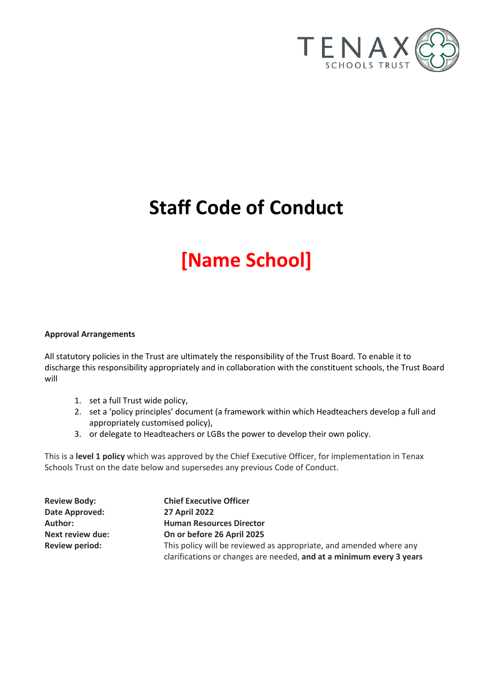

# **Staff Code of Conduct**

# **[Name School]**

# **Approval Arrangements**

All statutory policies in the Trust are ultimately the responsibility of the Trust Board. To enable it to discharge this responsibility appropriately and in collaboration with the constituent schools, the Trust Board will

- 1. set a full Trust wide policy,
- 2. set a 'policy principles' document (a framework within which Headteachers develop a full and appropriately customised policy),
- 3. or delegate to Headteachers or LGBs the power to develop their own policy.

This is a **level 1 policy** which was approved by the Chief Executive Officer, for implementation in Tenax Schools Trust on the date below and supersedes any previous Code of Conduct.

| <b>Review Body:</b>     | <b>Chief Executive Officer</b>                                       |
|-------------------------|----------------------------------------------------------------------|
| Date Approved:          | <b>27 April 2022</b>                                                 |
| Author:                 | <b>Human Resources Director</b>                                      |
| <b>Next review due:</b> | On or before 26 April 2025                                           |
| <b>Review period:</b>   | This policy will be reviewed as appropriate, and amended where any   |
|                         | clarifications or changes are needed, and at a minimum every 3 years |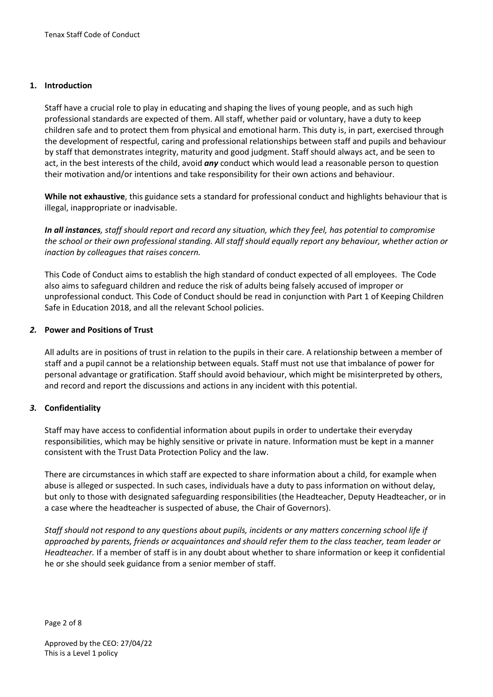# **1. Introduction**

Staff have a crucial role to play in educating and shaping the lives of young people, and as such high professional standards are expected of them. All staff, whether paid or voluntary, have a duty to keep children safe and to protect them from physical and emotional harm. This duty is, in part, exercised through the development of respectful, caring and professional relationships between staff and pupils and behaviour by staff that demonstrates integrity, maturity and good judgment. Staff should always act, and be seen to act, in the best interests of the child, avoid *any* conduct which would lead a reasonable person to question their motivation and/or intentions and take responsibility for their own actions and behaviour.

**While not exhaustive**, this guidance sets a standard for professional conduct and highlights behaviour that is illegal, inappropriate or inadvisable.

In all instances, staff should report and record any situation, which they feel, has potential to *compromise the school or their own professional standing. All staff should equally report any behaviour, whether action or inaction by colleagues that raises concern.*

This Code of Conduct aims to establish the high standard of conduct expected of all employees. The Code also aims to safeguard children and reduce the risk of adults being falsely accused of improper or unprofessional conduct. This Code of Conduct should be read in conjunction with Part 1 of Keeping Children Safe in Education 2018, and all the relevant School policies.

# *2.* **Power and Positions of Trust**

All adults are in positions of trust in relation to the pupils in their care. A relationship between a member of staff and a pupil cannot be a relationship between equals. Staff must not use that imbalance of power for personal advantage or gratification. Staff should avoid behaviour, which might be misinterpreted by others, and record and report the discussions and actions in any incident with this potential.

# *3.* **Confidentiality**

Staff may have access to confidential information about pupils in order to undertake their everyday responsibilities, which may be highly sensitive or private in nature. Information must be kept in a manner consistent with the Trust Data Protection Policy and the law.

There are circumstances in which staff are expected to share information about a child, for example when abuse is alleged or suspected. In such cases, individuals have a duty to pass information on without delay, but only to those with designated safeguarding responsibilities (the Headteacher, Deputy Headteacher, or in a case where the headteacher is suspected of abuse, the Chair of Governors).

*Staff should not respond to any questions about pupils, incidents or any matters concerning school life if approached by parents, friends or acquaintances and should refer them to the class teacher, team leader or Headteacher.* If a member of staff is in any doubt about whether to share information or keep it confidential he or she should seek guidance from a senior member of staff.

Page 2 of 8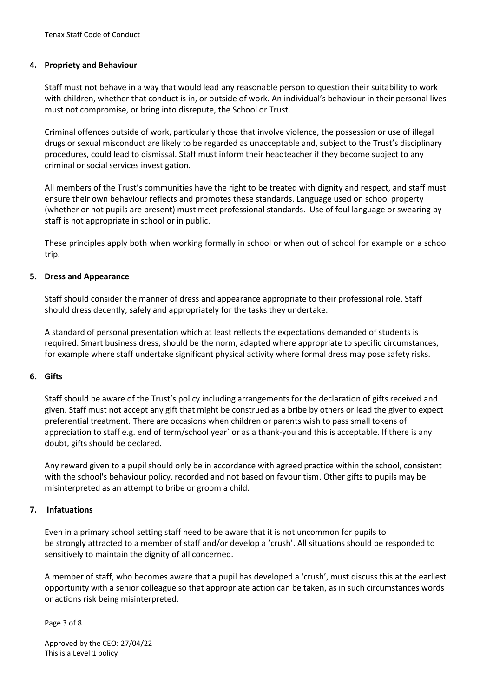#### **4. Propriety and Behaviour**

Staff must not behave in a way that would lead any reasonable person to question their suitability to work with children, whether that conduct is in, or outside of work. An individual's behaviour in their personal lives must not compromise, or bring into disrepute, the School or Trust.

Criminal offences outside of work, particularly those that involve violence, the possession or use of illegal drugs or sexual misconduct are likely to be regarded as unacceptable and, subject to the Trust's disciplinary procedures, could lead to dismissal. Staff must inform their headteacher if they become subject to any criminal or social services investigation.

All members of the Trust's communities have the right to be treated with dignity and respect, and staff must ensure their own behaviour reflects and promotes these standards. Language used on school property (whether or not pupils are present) must meet professional standards. Use of foul language or swearing by staff is not appropriate in school or in public.

These principles apply both when working formally in school or when out of school for example on a school trip.

#### **5. Dress and Appearance**

Staff should consider the manner of dress and appearance appropriate to their professional role. Staff should dress decently, safely and appropriately for the tasks they undertake.

A standard of personal presentation which at least reflects the expectations demanded of students is required. Smart business dress, should be the norm, adapted where appropriate to specific circumstances, for example where staff undertake significant physical activity where formal dress may pose safety risks.

#### **6. Gifts**

Staff should be aware of the Trust's policy including arrangements for the declaration of gifts received and given. Staff must not accept any gift that might be construed as a bribe by others or lead the giver to expect preferential treatment. There are occasions when children or parents wish to pass small tokens of appreciation to staff e.g. end of term/school year` or as a thank-you and this is acceptable. If there is any doubt, gifts should be declared.

Any reward given to a pupil should only be in accordance with agreed practice within the school, consistent with the school's behaviour policy, recorded and not based on favouritism. Other gifts to pupils may be misinterpreted as an attempt to bribe or groom a child.

#### **7. Infatuations**

Even in a primary school setting staff need to be aware that it is not uncommon for pupils to be strongly attracted to a member of staff and/or develop a 'crush'. All situations should be responded to sensitively to maintain the dignity of all concerned.

A member of staff, who becomes aware that a pupil has developed a 'crush', must discuss this at the earliest opportunity with a senior colleague so that appropriate action can be taken, as in such circumstances words or actions risk being misinterpreted.

Page 3 of 8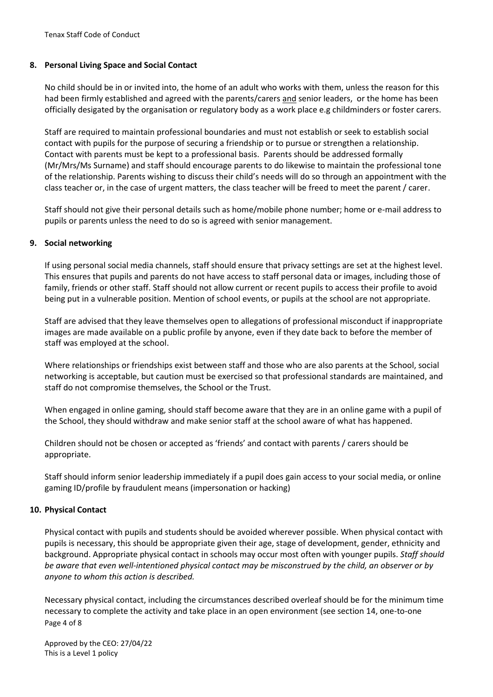# **8. Personal Living Space and Social Contact**

No child should be in or invited into, the home of an adult who works with them, unless the reason for this had been firmly established and agreed with the parents/carers and senior leaders, or the home has been officially desigated by the organisation or regulatory body as a work place e.g childminders or foster carers.

Staff are required to maintain professional boundaries and must not establish or seek to establish social contact with pupils for the purpose of securing a friendship or to pursue or strengthen a relationship. Contact with parents must be kept to a professional basis. Parents should be addressed formally (Mr/Mrs/Ms Surname) and staff should encourage parents to do likewise to maintain the professional tone of the relationship. Parents wishing to discuss their child's needs will do so through an appointment with the class teacher or, in the case of urgent matters, the class teacher will be freed to meet the parent / carer.

Staff should not give their personal details such as home/mobile phone number; home or e-mail address to pupils or parents unless the need to do so is agreed with senior management.

#### **9. Social networking**

If using personal social media channels, staff should ensure that privacy settings are set at the highest level. This ensures that pupils and parents do not have access to staff personal data or images, including those of family, friends or other staff. Staff should not allow current or recent pupils to access their profile to avoid being put in a vulnerable position. Mention of school events, or pupils at the school are not appropriate.

Staff are advised that they leave themselves open to allegations of professional misconduct if inappropriate images are made available on a public profile by anyone, even if they date back to before the member of staff was employed at the school.

Where relationships or friendships exist between staff and those who are also parents at the School, social networking is acceptable, but caution must be exercised so that professional standards are maintained, and staff do not compromise themselves, the School or the Trust.

When engaged in online gaming, should staff become aware that they are in an online game with a pupil of the School, they should withdraw and make senior staff at the school aware of what has happened.

Children should not be chosen or accepted as 'friends' and contact with parents / carers should be appropriate.

Staff should inform senior leadership immediately if a pupil does gain access to your social media, or online gaming ID/profile by fraudulent means (impersonation or hacking)

# **10. Physical Contact**

Physical contact with pupils and students should be avoided wherever possible. When physical contact with pupils is necessary, this should be appropriate given their age, stage of development, gender, ethnicity and background. Appropriate physical contact in schools may occur most often with younger pupils. *Staff should be aware that even well-intentioned physical contact may be misconstrued by the child, an observer or by anyone to whom this action is described.*

Page 4 of 8 Necessary physical contact, including the circumstances described overleaf should be for the minimum time necessary to complete the activity and take place in an open environment (see section 14, one-to-one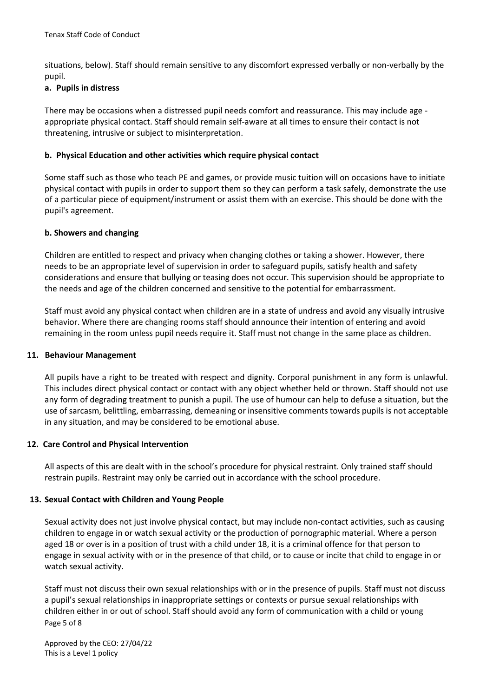situations, below). Staff should remain sensitive to any discomfort expressed verbally or non-verbally by the pupil.

# **a. Pupils in distress**

There may be occasions when a distressed pupil needs comfort and reassurance. This may include age appropriate physical contact. Staff should remain self-aware at all times to ensure their contact is not threatening, intrusive or subject to misinterpretation.

# **b. Physical Education and other activities which require physical contact**

Some staff such as those who teach PE and games, or provide music tuition will on occasions have to initiate physical contact with pupils in order to support them so they can perform a task safely, demonstrate the use of a particular piece of equipment/instrument or assist them with an exercise. This should be done with the pupil's agreement.

# **b. Showers and changing**

Children are entitled to respect and privacy when changing clothes or taking a shower. However, there needs to be an appropriate level of supervision in order to safeguard pupils, satisfy health and safety considerations and ensure that bullying or teasing does not occur. This supervision should be appropriate to the needs and age of the children concerned and sensitive to the potential for embarrassment.

Staff must avoid any physical contact when children are in a state of undress and avoid any visually intrusive behavior. Where there are changing rooms staff should announce their intention of entering and avoid remaining in the room unless pupil needs require it. Staff must not change in the same place as children.

# **11. Behaviour Management**

All pupils have a right to be treated with respect and dignity. Corporal punishment in any form is unlawful. This includes direct physical contact or contact with any object whether held or thrown. Staff should not use any form of degrading treatment to punish a pupil. The use of humour can help to defuse a situation, but the use of sarcasm, belittling, embarrassing, demeaning or insensitive comments towards pupils is not acceptable in any situation, and may be considered to be emotional abuse.

# **12. Care Control and Physical Intervention**

All aspects of this are dealt with in the school's procedure for physical restraint. Only trained staff should restrain pupils. Restraint may only be carried out in accordance with the school procedure.

# **13. Sexual Contact with Children and Young People**

Sexual activity does not just involve physical contact, but may include non-contact activities, such as causing children to engage in or watch sexual activity or the production of pornographic material. Where a person aged 18 or over is in a position of trust with a child under 18, it is a criminal offence for that person to engage in sexual activity with or in the presence of that child, or to cause or incite that child to engage in or watch sexual activity.

Page 5 of 8 Staff must not discuss their own sexual relationships with or in the presence of pupils. Staff must not discuss a pupil's sexual relationships in inappropriate settings or contexts or pursue sexual relationships with children either in or out of school. Staff should avoid any form of communication with a child or young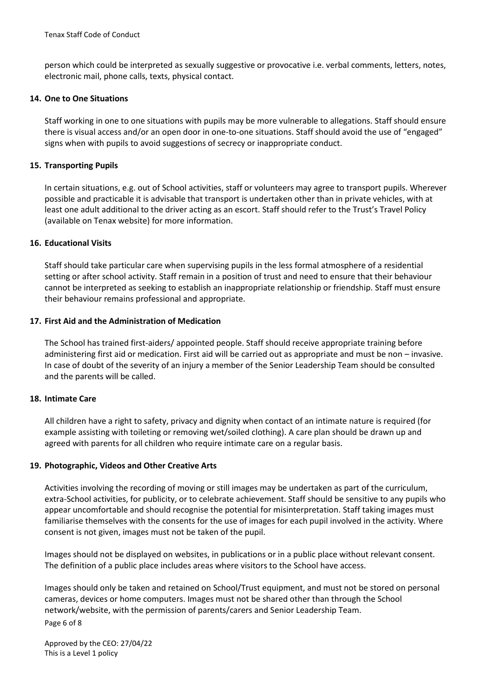person which could be interpreted as sexually suggestive or provocative i.e. verbal comments, letters, notes, electronic mail, phone calls, texts, physical contact.

#### **14. One to One Situations**

Staff working in one to one situations with pupils may be more vulnerable to allegations. Staff should ensure there is visual access and/or an open door in one-to-one situations. Staff should avoid the use of "engaged" signs when with pupils to avoid suggestions of secrecy or inappropriate conduct.

#### **15. Transporting Pupils**

In certain situations, e.g. out of School activities, staff or volunteers may agree to transport pupils. Wherever possible and practicable it is advisable that transport is undertaken other than in private vehicles, with at least one adult additional to the driver acting as an escort. Staff should refer to the Trust's Travel Policy (available on Tenax website) for more information.

#### **16. Educational Visits**

Staff should take particular care when supervising pupils in the less formal atmosphere of a residential setting or after school activity. Staff remain in a position of trust and need to ensure that their behaviour cannot be interpreted as seeking to establish an inappropriate relationship or friendship. Staff must ensure their behaviour remains professional and appropriate.

# **17. First Aid and the Administration of Medication**

The School has trained first-aiders/ appointed people. Staff should receive appropriate training before administering first aid or medication. First aid will be carried out as appropriate and must be non – invasive. In case of doubt of the severity of an injury a member of the Senior Leadership Team should be consulted and the parents will be called.

#### **18. Intimate Care**

All children have a right to safety, privacy and dignity when contact of an intimate nature is required (for example assisting with toileting or removing wet/soiled clothing). A care plan should be drawn up and agreed with parents for all children who require intimate care on a regular basis.

#### **19. Photographic, Videos and Other Creative Arts**

Activities involving the recording of moving or still images may be undertaken as part of the curriculum, extra-School activities, for publicity, or to celebrate achievement. Staff should be sensitive to any pupils who appear uncomfortable and should recognise the potential for misinterpretation. Staff taking images must familiarise themselves with the consents for the use of images for each pupil involved in the activity. Where consent is not given, images must not be taken of the pupil.

Images should not be displayed on websites, in publications or in a public place without relevant consent. The definition of a public place includes areas where visitors to the School have access.

Page 6 of 8 Images should only be taken and retained on School/Trust equipment, and must not be stored on personal cameras, devices or home computers. Images must not be shared other than through the School network/website, with the permission of parents/carers and Senior Leadership Team.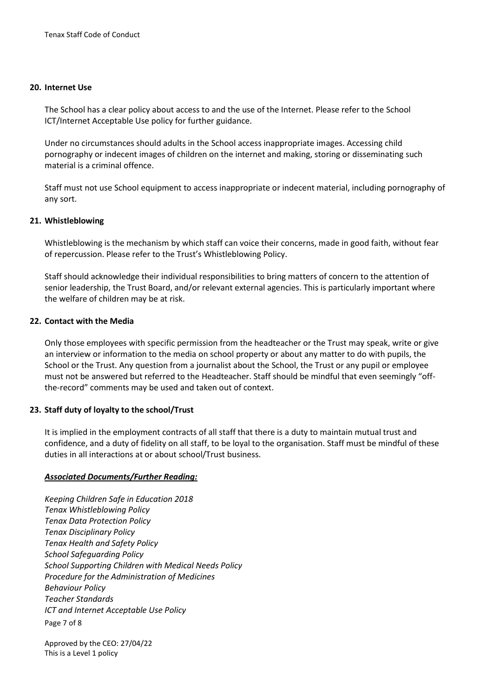#### **20. Internet Use**

The School has a clear policy about access to and the use of the Internet. Please refer to the School ICT/Internet Acceptable Use policy for further guidance.

Under no circumstances should adults in the School access inappropriate images. Accessing child pornography or indecent images of children on the internet and making, storing or disseminating such material is a criminal offence.

Staff must not use School equipment to access inappropriate or indecent material, including pornography of any sort.

#### **21. Whistleblowing**

Whistleblowing is the mechanism by which staff can voice their concerns, made in good faith, without fear of repercussion. Please refer to the Trust's Whistleblowing Policy.

Staff should acknowledge their individual responsibilities to bring matters of concern to the attention of senior leadership, the Trust Board, and/or relevant external agencies. This is particularly important where the welfare of children may be at risk.

# **22. Contact with the Media**

Only those employees with specific permission from the headteacher or the Trust may speak, write or give an interview or information to the media on school property or about any matter to do with pupils, the School or the Trust. Any question from a journalist about the School, the Trust or any pupil or employee must not be answered but referred to the Headteacher. Staff should be mindful that even seemingly "offthe-record" comments may be used and taken out of context.

# **23. Staff duty of loyalty to the school/Trust**

It is implied in the employment contracts of all staff that there is a duty to maintain mutual trust and confidence, and a duty of fidelity on all staff, to be loyal to the organisation. Staff must be mindful of these duties in all interactions at or about school/Trust business.

# *Associated Documents/Further Reading:*

Page 7 of 8 *Keeping Children Safe in Education 2018 Tenax Whistleblowing Policy Tenax Data Protection Policy Tenax Disciplinary Policy Tenax Health and Safety Policy School Safeguarding Policy School Supporting Children with Medical Needs Policy Procedure for the Administration of Medicines Behaviour Policy Teacher Standards ICT and Internet Acceptable Use Policy*